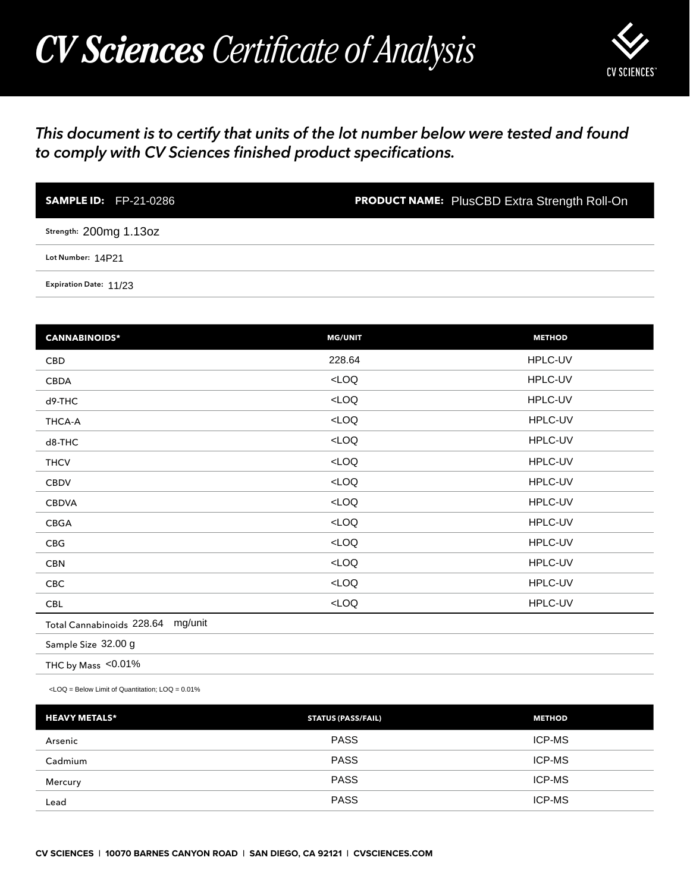## *CV Sciences Certificate of Analysis*



## *This document is to certify that units of the lot number below were tested and found to comply with CV Sciences finished product specifications.*

| <b>SAMPLE ID:</b> FP-21-0286 | <b>PRODUCT NAME:</b> PlusCBD Extra Strength Roll-On |
|------------------------------|-----------------------------------------------------|
| Strength: 200mg 1.130Z       |                                                     |
| Lot Number: 14P21            |                                                     |
| Expiration Date: 11/23       |                                                     |

| <b>SAMPLE ID: FP-21-0286</b>                                                                   | <b>PRODUCT NAME:</b> PlusCBD Extra Strength Roll-On |               |
|------------------------------------------------------------------------------------------------|-----------------------------------------------------|---------------|
| Strength: 200mg 1.13oz                                                                         |                                                     |               |
| Lot Number: 14P21                                                                              |                                                     |               |
| Expiration Date: 11/23                                                                         |                                                     |               |
|                                                                                                |                                                     |               |
| <b>CANNABINOIDS*</b>                                                                           | <b>MG/UNIT</b>                                      | <b>METHOD</b> |
| <b>CBD</b>                                                                                     | 228.64                                              | HPLC-UV       |
| CBDA                                                                                           | $<$ LOQ                                             | HPLC-UV       |
| d9-THC                                                                                         | LOO                                                 | HPLC-UV       |
| THCA-A                                                                                         | LOO                                                 | HPLC-UV       |
| d8-THC                                                                                         | $<$ LOQ                                             | HPLC-UV       |
| <b>THCV</b>                                                                                    | $<$ LOQ                                             | HPLC-UV       |
| <b>CBDV</b>                                                                                    | LOO                                                 | HPLC-UV       |
| <b>CBDVA</b>                                                                                   | LOO                                                 | HPLC-UV       |
| CBGA                                                                                           | LOO                                                 | HPLC-UV       |
| CBG                                                                                            | $<$ LOQ                                             | HPLC-UV       |
| <b>CBN</b>                                                                                     | LOO                                                 | HPLC-UV       |
| CBC                                                                                            | LOO                                                 | HPLC-UV       |
| <b>CBL</b>                                                                                     | $<$ LOQ                                             | HPLC-UV       |
| Total Cannabinoids 228.64 mg/unit                                                              |                                                     |               |
| Sample Size 32.00 g                                                                            |                                                     |               |
| THC by Mass <0.01%                                                                             |                                                     |               |
| <loq =="" below="" limit="" loq="0.01%&lt;/td" of="" quantitation;=""><td></td><td></td></loq> |                                                     |               |
| <b>HEAVY METALS*</b>                                                                           | <b>STATUS (PASS/FAIL)</b>                           | <b>METHOD</b> |
| Arsenic                                                                                        | <b>PASS</b>                                         | ICP-MS        |
| Cadmium                                                                                        | <b>PASS</b>                                         | ICP-MS        |
| Mercury                                                                                        | <b>PASS</b>                                         | ICP-MS        |
| Lead                                                                                           | <b>PASS</b>                                         | ICP-MS        |

| <b>HEAVY METALS*</b> | <b>STATUS (PASS/FAIL)</b> | <b>METHOD</b> |
|----------------------|---------------------------|---------------|
| Arsenic              | <b>PASS</b>               | <b>ICP-MS</b> |
| Cadmium              | <b>PASS</b>               | <b>ICP-MS</b> |
| Mercury              | <b>PASS</b>               | <b>ICP-MS</b> |
| Lead                 | <b>PASS</b>               | <b>ICP-MS</b> |